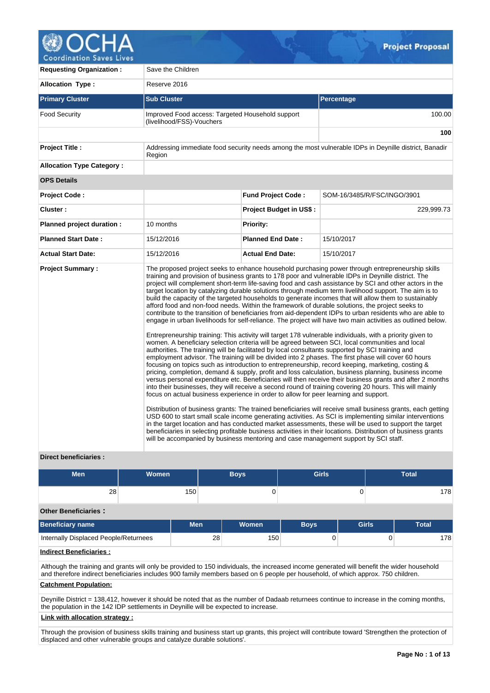

**Coordination Saves Lives** 

| <b>Requesting Organization:</b>  | Save the Children                                                                                                                                                                                                                                                               |                          |                                                                                                                                                                                                                                                                                                                                                                                                                                                                                                                                                                                                                                                                                                                                                                                                                                                                                                                                                                                                                                                                                                                                                                                                                                                                                                                                                                                                                                                                                                                                                                                                                                                                                                                                                                                                                                                                                                                                                                                                                                                                                    |
|----------------------------------|---------------------------------------------------------------------------------------------------------------------------------------------------------------------------------------------------------------------------------------------------------------------------------|--------------------------|------------------------------------------------------------------------------------------------------------------------------------------------------------------------------------------------------------------------------------------------------------------------------------------------------------------------------------------------------------------------------------------------------------------------------------------------------------------------------------------------------------------------------------------------------------------------------------------------------------------------------------------------------------------------------------------------------------------------------------------------------------------------------------------------------------------------------------------------------------------------------------------------------------------------------------------------------------------------------------------------------------------------------------------------------------------------------------------------------------------------------------------------------------------------------------------------------------------------------------------------------------------------------------------------------------------------------------------------------------------------------------------------------------------------------------------------------------------------------------------------------------------------------------------------------------------------------------------------------------------------------------------------------------------------------------------------------------------------------------------------------------------------------------------------------------------------------------------------------------------------------------------------------------------------------------------------------------------------------------------------------------------------------------------------------------------------------------|
| <b>Allocation Type:</b>          | Reserve 2016                                                                                                                                                                                                                                                                    |                          |                                                                                                                                                                                                                                                                                                                                                                                                                                                                                                                                                                                                                                                                                                                                                                                                                                                                                                                                                                                                                                                                                                                                                                                                                                                                                                                                                                                                                                                                                                                                                                                                                                                                                                                                                                                                                                                                                                                                                                                                                                                                                    |
| <b>Primary Cluster</b>           | <b>Sub Cluster</b>                                                                                                                                                                                                                                                              |                          | Percentage                                                                                                                                                                                                                                                                                                                                                                                                                                                                                                                                                                                                                                                                                                                                                                                                                                                                                                                                                                                                                                                                                                                                                                                                                                                                                                                                                                                                                                                                                                                                                                                                                                                                                                                                                                                                                                                                                                                                                                                                                                                                         |
| <b>Food Security</b>             | Improved Food access: Targeted Household support<br>(livelihood/FSS)-Vouchers                                                                                                                                                                                                   |                          | 100.00                                                                                                                                                                                                                                                                                                                                                                                                                                                                                                                                                                                                                                                                                                                                                                                                                                                                                                                                                                                                                                                                                                                                                                                                                                                                                                                                                                                                                                                                                                                                                                                                                                                                                                                                                                                                                                                                                                                                                                                                                                                                             |
|                                  | 100                                                                                                                                                                                                                                                                             |                          |                                                                                                                                                                                                                                                                                                                                                                                                                                                                                                                                                                                                                                                                                                                                                                                                                                                                                                                                                                                                                                                                                                                                                                                                                                                                                                                                                                                                                                                                                                                                                                                                                                                                                                                                                                                                                                                                                                                                                                                                                                                                                    |
| <b>Project Title:</b>            | Addressing immediate food security needs among the most vulnerable IDPs in Deynille district, Banadir                                                                                                                                                                           |                          |                                                                                                                                                                                                                                                                                                                                                                                                                                                                                                                                                                                                                                                                                                                                                                                                                                                                                                                                                                                                                                                                                                                                                                                                                                                                                                                                                                                                                                                                                                                                                                                                                                                                                                                                                                                                                                                                                                                                                                                                                                                                                    |
| <b>Allocation Type Category:</b> |                                                                                                                                                                                                                                                                                 |                          |                                                                                                                                                                                                                                                                                                                                                                                                                                                                                                                                                                                                                                                                                                                                                                                                                                                                                                                                                                                                                                                                                                                                                                                                                                                                                                                                                                                                                                                                                                                                                                                                                                                                                                                                                                                                                                                                                                                                                                                                                                                                                    |
| <b>OPS Details</b>               |                                                                                                                                                                                                                                                                                 |                          |                                                                                                                                                                                                                                                                                                                                                                                                                                                                                                                                                                                                                                                                                                                                                                                                                                                                                                                                                                                                                                                                                                                                                                                                                                                                                                                                                                                                                                                                                                                                                                                                                                                                                                                                                                                                                                                                                                                                                                                                                                                                                    |
| <b>Project Code:</b>             |                                                                                                                                                                                                                                                                                 | Fund Project Code:       | SOM-16/3485/R/FSC/INGO/3901                                                                                                                                                                                                                                                                                                                                                                                                                                                                                                                                                                                                                                                                                                                                                                                                                                                                                                                                                                                                                                                                                                                                                                                                                                                                                                                                                                                                                                                                                                                                                                                                                                                                                                                                                                                                                                                                                                                                                                                                                                                        |
| Cluster:                         |                                                                                                                                                                                                                                                                                 | Project Budget in US\$:  | 229,999.73                                                                                                                                                                                                                                                                                                                                                                                                                                                                                                                                                                                                                                                                                                                                                                                                                                                                                                                                                                                                                                                                                                                                                                                                                                                                                                                                                                                                                                                                                                                                                                                                                                                                                                                                                                                                                                                                                                                                                                                                                                                                         |
| Planned project duration :       | 10 months                                                                                                                                                                                                                                                                       | <b>Priority:</b>         |                                                                                                                                                                                                                                                                                                                                                                                                                                                                                                                                                                                                                                                                                                                                                                                                                                                                                                                                                                                                                                                                                                                                                                                                                                                                                                                                                                                                                                                                                                                                                                                                                                                                                                                                                                                                                                                                                                                                                                                                                                                                                    |
| <b>Planned Start Date:</b>       | 15/12/2016                                                                                                                                                                                                                                                                      | <b>Planned End Date:</b> | 15/10/2017                                                                                                                                                                                                                                                                                                                                                                                                                                                                                                                                                                                                                                                                                                                                                                                                                                                                                                                                                                                                                                                                                                                                                                                                                                                                                                                                                                                                                                                                                                                                                                                                                                                                                                                                                                                                                                                                                                                                                                                                                                                                         |
| <b>Actual Start Date:</b>        | 15/12/2016                                                                                                                                                                                                                                                                      | <b>Actual End Date:</b>  | 15/10/2017                                                                                                                                                                                                                                                                                                                                                                                                                                                                                                                                                                                                                                                                                                                                                                                                                                                                                                                                                                                                                                                                                                                                                                                                                                                                                                                                                                                                                                                                                                                                                                                                                                                                                                                                                                                                                                                                                                                                                                                                                                                                         |
| <b>Project Summary:</b>          | authorities. The training will be facilitated by local consultants supported by SCI training and<br>focus on actual business experience in order to allow for peer learning and support.<br>will be accompanied by business mentoring and case management support by SCI staff. |                          | The proposed project seeks to enhance household purchasing power through entrepreneurship skills<br>training and provision of business grants to 178 poor and vulnerable IDPs in Deynille district. The<br>project will complement short-term life-saving food and cash assistance by SCI and other actors in the<br>target location by catalyzing durable solutions through medium term livelihood support. The aim is to<br>build the capacity of the targeted households to generate incomes that will allow them to sustainably<br>afford food and non-food needs. Within the framework of durable solutions, the project seeks to<br>contribute to the transition of beneficiaries from aid-dependent IDPs to urban residents who are able to<br>engage in urban livelihoods for self-reliance. The project will have two main activities as outlined below.<br>Entrepreneurship training: This activity will target 178 vulnerable individuals, with a priority given to<br>women. A beneficiary selection criteria will be agreed between SCI, local communities and local<br>employment advisor. The training will be divided into 2 phases. The first phase will cover 60 hours<br>focusing on topics such as introduction to entrepreneurship, record keeping, marketing, costing &<br>pricing, completion, demand & supply, profit and loss calculation, business planning, business income<br>versus personal expenditure etc. Beneficiaries will then receive their business grants and after 2 months<br>into their businesses, they will receive a second round of training covering 20 hours. This will mainly<br>Distribution of business grants: The trained beneficiaries will receive small business grants, each getting<br>USD 600 to start small scale income generating activities. As SCI is implementing similar interventions<br>in the target location and has conducted market assessments, these will be used to support the target<br>beneficiaries in selecting profitable business activities in their locations. Distribution of business grants |

## **Direct beneficiaries :**

| <b>Men</b>                                                                                                                                                                                                                                                                     | <b>Women</b> |            |    | <b>Boys</b> | <b>Girls</b> |              | <b>Total</b> |              |     |  |
|--------------------------------------------------------------------------------------------------------------------------------------------------------------------------------------------------------------------------------------------------------------------------------|--------------|------------|----|-------------|--------------|--------------|--------------|--------------|-----|--|
| 28                                                                                                                                                                                                                                                                             |              | 150        |    |             |              |              |              |              | 178 |  |
| <b>Other Beneficiaries:</b>                                                                                                                                                                                                                                                    |              |            |    |             |              |              |              |              |     |  |
| Beneficiary name                                                                                                                                                                                                                                                               |              | <b>Men</b> |    | Women       | <b>Boys</b>  | <b>Girls</b> |              | <b>Total</b> |     |  |
| Internally Displaced People/Returnees                                                                                                                                                                                                                                          |              |            | 28 | 150         |              |              | U            |              | 178 |  |
| <b>Indirect Beneficiaries:</b>                                                                                                                                                                                                                                                 |              |            |    |             |              |              |              |              |     |  |
| Although the training and grants will only be provided to 150 individuals, the increased income generated will benefit the wider household<br>and therefore indirect beneficiaries includes 900 family members based on 6 people per household, of which approx. 750 children. |              |            |    |             |              |              |              |              |     |  |

## **Catchment Population:**

Deynille District = 138,412, however it should be noted that as the number of Dadaab returnees continue to increase in the coming months, the population in the 142 IDP settlements in Deynille will be expected to increase.

## **Link with allocation strategy :**

Through the provision of business skills training and business start up grants, this project will contribute toward 'Strengthen the protection of displaced and other vulnerable groups and catalyze durable solutions'.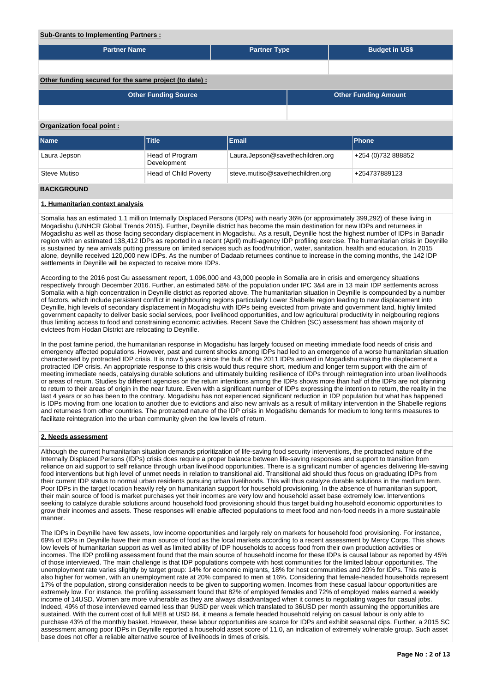### **Sub-Grants to Implementing Partners :**

| <b>Partner Name</b>                                   |                                | <b>Partner Type</b>              |  | <b>Budget in US\$</b>       |  |  |  |  |  |  |  |
|-------------------------------------------------------|--------------------------------|----------------------------------|--|-----------------------------|--|--|--|--|--|--|--|
|                                                       |                                |                                  |  |                             |  |  |  |  |  |  |  |
| Other funding secured for the same project (to date): |                                |                                  |  |                             |  |  |  |  |  |  |  |
|                                                       | <b>Other Funding Source</b>    |                                  |  | <b>Other Funding Amount</b> |  |  |  |  |  |  |  |
|                                                       |                                |                                  |  |                             |  |  |  |  |  |  |  |
| Organization focal point:                             |                                |                                  |  |                             |  |  |  |  |  |  |  |
| <b>Name</b>                                           | Title                          | Email                            |  | Phone                       |  |  |  |  |  |  |  |
| Laura Jepson                                          | Head of Program<br>Development | Laura.Jepson@savethechildren.org |  | +254 (0)732 888852          |  |  |  |  |  |  |  |
| Steve Mutiso                                          | <b>Head of Child Poverty</b>   | steve.mutiso@savethechildren.org |  | +254737889123               |  |  |  |  |  |  |  |
| <b>BACKGROUND</b>                                     |                                |                                  |  |                             |  |  |  |  |  |  |  |

## **1. Humanitarian context analysis**

Somalia has an estimated 1.1 million Internally Displaced Persons (IDPs) with nearly 36% (or approximately 399,292) of these living in Mogadishu (UNHCR Global Trends 2015). Further, Deynille district has become the main destination for new IDPs and returnees in Mogadishu as well as those facing secondary displacement in Mogadishu. As a result, Deynille host the highest number of IDPs in Banadir region with an estimated 138,412 IDPs as reported in a recent (April) multi-agency IDP profiling exercise. The humanitarian crisis in Deynille is sustained by new arrivals putting pressure on limited services such as food/nutrition, water, sanitation, health and education. In 2015 alone, deynille received 120,000 new IDPs. As the number of Dadaab returnees continue to increase in the coming months, the 142 IDP settlements in Deynille will be expected to receive more IDPs.

According to the 2016 post Gu assessment report, 1,096,000 and 43,000 people in Somalia are in crisis and emergency situations respectively through December 2016. Further, an estimated 58% of the population under IPC 3&4 are in 13 main IDP settlements across Somalia with a high concentration in Deynille district as reported above. The humanitarian situation in Deynille is compounded by a number of factors, which include persistent conflict in neighbouring regions particularly Lower Shabelle region leading to new displacement into Deynille, high levels of secondary displacement in Mogadishu with IDPs being eveicted from private and government land, highly limited government capacity to deliver basic social services, poor livelihood opportunities, and low agricultural productivity in neigbouring regions thus limiting access to food and constraining economic activities. Recent Save the Children (SC) assessment has shown majority of evictees from Hodan District are relocating to Deynille.

In the post famine period, the humanitarian response in Mogadishu has largely focused on meeting immediate food needs of crisis and emergency affected populations. However, past and current shocks among IDPs had led to an emergence of a worse humanitarian situation characterised by protracted IDP crisis. It is now 5 years since the bulk of the 2011 IDPs arrived in Mogadishu making the displacement a protracted IDP crisis. An appropriate response to this crisis would thus require short, medium and longer term support with the aim of meeting immediate needs, catalysing durable solutions and ultimately building resilience of IDPs through reintegration into urban livelihoods or areas of return. Studies by different agencies on the return intentions among the IDPs shows more than half of the IDPs are not planning to return to their areas of origin in the near future. Even with a significant number of IDPs expressing the intention to return, the reality in the last 4 years or so has been to the contrary. Mogadishu has not experienced significant reduction in IDP population but what has happened is IDPs moving from one location to another due to evictions and also new arrivals as a result of military intervention in the Shabelle regions and returnees from other countries. The protracted nature of the IDP crisis in Mogadishu demands for medium to long terms measures to facilitate reintegration into the urban community given the low levels of return.

#### **2. Needs assessment**

Although the current humanitarian situation demands prioritization of life-saving food security interventions, the protracted nature of the Internally Displaced Persons (IDPs) crisis does require a proper balance between life-saving responses and support to transition from reliance on aid support to self reliance through urban livelihood opportunities. There is a significant number of agencies delivering life-saving food interventions but high level of unmet needs in relation to transitional aid. Transitional aid should thus focus on graduating IDPs from their current IDP status to normal urban residents pursuing urban livelihoods. This will thus catalyze durable solutions in the medium term. Poor IDPs in the target location heavily rely on humanitarian support for household provisioning. In the absence of humanitarian support, their main source of food is market purchases yet their incomes are very low and household asset base extremely low. Interventions seeking to catalyze durable solutions around household food provisioning should thus target building household economic opportunities to grow their incomes and assets. These responses will enable affected populations to meet food and non-food needs in a more sustainable manner.

The IDPs in Deynille have few assets, low income opportunities and largely rely on markets for household food provisioning. For instance, 69% of IDPs in Deynille have their main source of food as the local markets according to a recent assessment by Mercy Corps. This shows low levels of humanitarian support as well as limited ability of IDP households to access food from their own production activities or incomes. The IDP profiling assessment found that the main source of household income for these IDPs is causal labour as reported by 45% of those interviewed. The main challenge is that IDP populations compete with host communities for the limited labour opportunities. The unemployment rate varies slightly by target group: 14% for economic migrants, 18% for host communities and 20% for IDPs. This rate is also higher for women, with an unemployment rate at 20% compared to men at 16%. Considering that female-headed households represent 17% of the population, strong consideration needs to be given to supporting women. Incomes from these casual labour opportunities are extremely low. For instance, the profiling assessment found that 82% of employed females and 72% of employed males earned a weekly income of 14USD. Women are more vulnerable as they are always disadvantaged when it comes to negotiating wages for casual jobs. Indeed, 49% of those interviewed earned less than 9USD per week which translated to 36USD per month assuming the opportunities are sustained. With the current cost of full MEB at USD 84, it means a female headed household relying on casual labour is only able to purchase 43% of the monthly basket. However, these labour opportunities are scarce for IDPs and exhibit seasonal dips. Further, a 2015 SC assessment among poor IDPs in Deynille reported a household asset score of 11.0, an indication of extremely vulnerable group. Such asset base does not offer a reliable alternative source of livelihoods in times of crisis.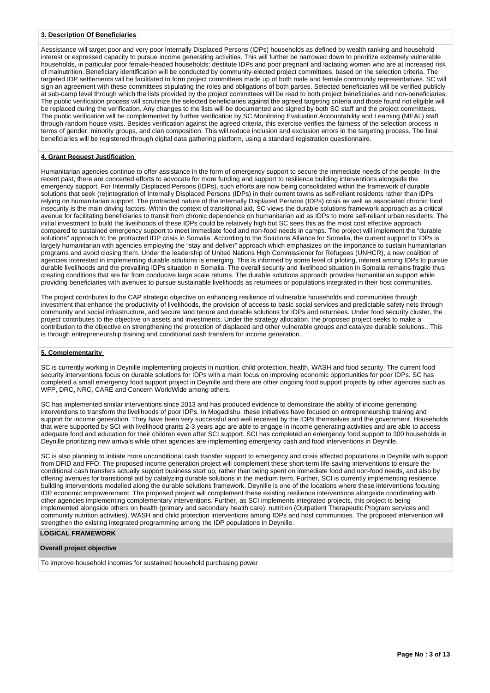## **3. Description Of Beneficiaries**

Aessistance will target poor and very poor Internally Displaced Persons (IDPs) households as defined by wealth ranking and household interest or expressed capacity to pursue income generating activities. This will further be narrowed down to prioritize extremely vulnerable households, in particular poor female-headed households; destitute IDPs and poor pregnant and lactating women who are at increased risk of malnutrition. Beneficiary identification will be conducted by community-elected project committees, based on the selection criteria. The targeted IDP settlements will be facilitated to form project committees made up of both male and female community representatives. SC will sign an agreement with these committees stipulating the roles and obligations of both parties. Selected beneficiaries will be verified publicly at sub-camp level through which the lists provided by the project committees will be read to both project beneficiaries and non-beneficiaries. The public verification process will scrutinize the selected beneficiaries against the agreed targeting criteria and those found not eligible will be replaced during the verification. Any changes to the lists will be documented and signed by both SC staff and the project committees. The public verification will be complemented by further verification by SC Monitoring Evaluation Accountability and Learning (MEAL) staff through random house visits. Besides verification against the agreed criteria, this exercise verifies the fairness of the selection process in terms of gender, minority groups, and clan composition. This will reduce inclusion and exclusion errors in the targeting process. The final beneficiaries will be registered through digital data gathering platform, using a standard registration questionnaire.

## **4. Grant Request Justification**

Humanitarian agencies continue to offer assistance in the form of emergency support to secure the immediate needs of the people. In the recent past, there are concerted efforts to advocate for more funding and support to resilience building interventions alongside the emergency support. For Internally Displaced Persons (IDPs), such efforts are now being consolidated within the framework of durable solutions that seek (re)integration of Internally Displaced Persons (IDPs) in their current towns as self-reliant residents rather than IDPs relying on humanitarian support. The protracted nature of the Internally Displaced Persons (IDPs) crisis as well as associated chronic food insecurity is the main driving factors. Within the context of transitional aid, SC views the durable solutions framework approach as a critical avenue for facilitating beneficiaries to transit from chronic dependence on humanitarian aid as IDPs to more self-reliant urban residents. The initial investment to build the livelihoods of these IDPs could be relatively high but SC sees this as the most cost effective approach compared to sustained emergency support to meet immediate food and non-food needs in camps. The project will implement the "durable solutions" approach to the protracted IDP crisis in Somalia. According to the Solutions Alliance for Somalia, the current support to IDPs is largely humanitarian with agencies employing the "stay and deliver" approach which emphasizes on the importance to sustain humanitarian programs and avoid closing them. Under the leadership of United Nations High Commissioner for Refugees (UNHCR), a new coalition of agencies interested in implementing durable solutions is emerging. This is informed by some level of piloting, interest among IDPs to pursue durable livelihoods and the prevailing IDPs situation in Somalia. The overall security and livelihood situation in Somalia remains fragile thus creating conditions that are far from conducive large scale returns. The durable solutions approach provides humanitarian support while providing beneficiaries with avenues to pursue sustainable livelihoods as returnees or populations integrated in their host communities.

The project contributes to the CAP strategic objective on enhancing resilience of vulnerable households and communities through investment that enhance the productivity of livelihoods, the provision of access to basic social services and predictable safety nets through community and social infrastructure, and secure land tenure and durable solutions for IDPs and returnees. Under food security cluster, the project contributes to the objective on assets and investments. Under the strategy allocation, the proposed project seeks to make a contribution to the objective on strengthening the protection of displaced and other vulnerable groups and catalyze durable solutions.. This is through entrepreneurship training and conditional cash transfers for income generation.

#### **5. Complementarity**

SC is currently working in Deynille implementing projects in nutrition, child protection, health, WASH and food security. The current food security interventions focus on durable solutions for IDPs with a main focus on improving economic opportunities for poor IDPs. SC has completed a small emergency food support project in Deynille and there are other ongoing food support projects by other agencies such as WFP, DRC, NRC, CARE and Concern WorldWide among others.

SC has implemented similar interventions since 2013 and has produced evidence to demonstrate the ability of income generating interventions to transform the livelihoods of poor IDPs. In Mogadishu, these initiatives have focused on entrepreneurship training and support for income generation. They have been very successful and well received by the IDPs themselves and the government. Households that were supported by SCI with livelihood grants 2-3 years ago are able to engage in income generating activities and are able to access adequate food and education for their children even after SCI support. SCI has completed an emergency food support to 300 households in Deynille prioritizing new arrivals while other agencies are implementing emergency cash and food interventions in Deynille.

SC is also planning to initiate more unconditional cash transfer support to emergency and crisis affected populations in Deynille with support from DFID and FFO. The proposed income generation project will complement these short-term life-saving interventions to ensure the conditional cash transfers actually support business start up, rather than being spent on immediate food and non-food needs, and also by offering avenues for transitional aid by catalyzing durable solutions in the medium term. Further, SCI is currently implementing resilience building interventions modelled along the durable solutions framework. Deynille is one of the locations where these interventions focusing IDP economic empowerement. The proposed project will complement these existing resilience interventions alongside coordinating with other agencies implementing complementary interventions. Further, as SCI implements integrated projects, this project is being implemented alongside others on health (primary and secondary health care), nutrition (Outpatient Therapeutic Program services and community nutrition activities), WASH and child protection interventions among IDPs and host communities. The proposed intervention will strengthen the existing integrated programming among the IDP populations in Deynille.

### **LOGICAL FRAMEWORK**

### **Overall project objective**

To improve household incomes for sustained household purchasing power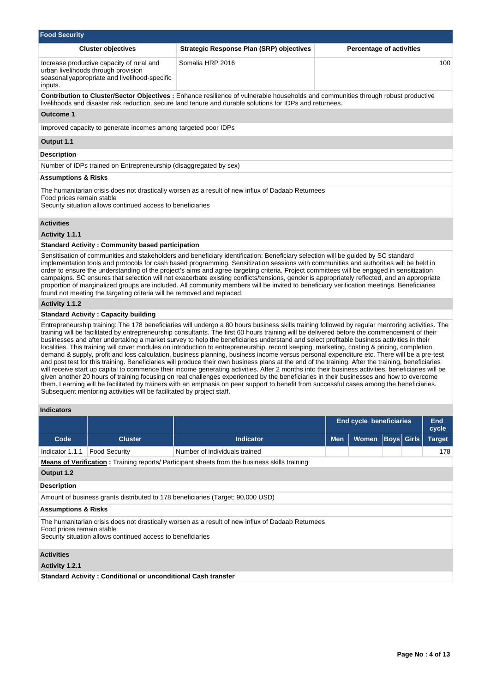| <b>Food Security</b>                                                                                                                                                                          |                                                                                                                                   |                                                                                                                                                                                                                                                                                                                                                                                                                                                                                                                                                                                                                                                                                                                                                                                                                                                                                                                                                                                                                                                                                                                                                                                                                                                                                                                                              |     |                                 |                     |  |  |  |  |  |
|-----------------------------------------------------------------------------------------------------------------------------------------------------------------------------------------------|-----------------------------------------------------------------------------------------------------------------------------------|----------------------------------------------------------------------------------------------------------------------------------------------------------------------------------------------------------------------------------------------------------------------------------------------------------------------------------------------------------------------------------------------------------------------------------------------------------------------------------------------------------------------------------------------------------------------------------------------------------------------------------------------------------------------------------------------------------------------------------------------------------------------------------------------------------------------------------------------------------------------------------------------------------------------------------------------------------------------------------------------------------------------------------------------------------------------------------------------------------------------------------------------------------------------------------------------------------------------------------------------------------------------------------------------------------------------------------------------|-----|---------------------------------|---------------------|--|--|--|--|--|
|                                                                                                                                                                                               | <b>Cluster objectives</b>                                                                                                         | <b>Strategic Response Plan (SRP) objectives</b>                                                                                                                                                                                                                                                                                                                                                                                                                                                                                                                                                                                                                                                                                                                                                                                                                                                                                                                                                                                                                                                                                                                                                                                                                                                                                              |     | <b>Percentage of activities</b> |                     |  |  |  |  |  |
| inputs.                                                                                                                                                                                       | Increase productive capacity of rural and<br>urban livelihoods through provision<br>seasonallyappropriate and livelihood-specific | Somalia HRP 2016                                                                                                                                                                                                                                                                                                                                                                                                                                                                                                                                                                                                                                                                                                                                                                                                                                                                                                                                                                                                                                                                                                                                                                                                                                                                                                                             |     |                                 | 100                 |  |  |  |  |  |
|                                                                                                                                                                                               |                                                                                                                                   | <b>Contribution to Cluster/Sector Objectives:</b> Enhance resilience of vulnerable households and communities through robust productive<br>livelihoods and disaster risk reduction, secure land tenure and durable solutions for IDPs and returnees.                                                                                                                                                                                                                                                                                                                                                                                                                                                                                                                                                                                                                                                                                                                                                                                                                                                                                                                                                                                                                                                                                         |     |                                 |                     |  |  |  |  |  |
| <b>Outcome 1</b>                                                                                                                                                                              |                                                                                                                                   |                                                                                                                                                                                                                                                                                                                                                                                                                                                                                                                                                                                                                                                                                                                                                                                                                                                                                                                                                                                                                                                                                                                                                                                                                                                                                                                                              |     |                                 |                     |  |  |  |  |  |
|                                                                                                                                                                                               | Improved capacity to generate incomes among targeted poor IDPs                                                                    |                                                                                                                                                                                                                                                                                                                                                                                                                                                                                                                                                                                                                                                                                                                                                                                                                                                                                                                                                                                                                                                                                                                                                                                                                                                                                                                                              |     |                                 |                     |  |  |  |  |  |
| Output 1.1                                                                                                                                                                                    |                                                                                                                                   |                                                                                                                                                                                                                                                                                                                                                                                                                                                                                                                                                                                                                                                                                                                                                                                                                                                                                                                                                                                                                                                                                                                                                                                                                                                                                                                                              |     |                                 |                     |  |  |  |  |  |
| <b>Description</b>                                                                                                                                                                            |                                                                                                                                   |                                                                                                                                                                                                                                                                                                                                                                                                                                                                                                                                                                                                                                                                                                                                                                                                                                                                                                                                                                                                                                                                                                                                                                                                                                                                                                                                              |     |                                 |                     |  |  |  |  |  |
|                                                                                                                                                                                               | Number of IDPs trained on Entrepreneurship (disaggregated by sex)                                                                 |                                                                                                                                                                                                                                                                                                                                                                                                                                                                                                                                                                                                                                                                                                                                                                                                                                                                                                                                                                                                                                                                                                                                                                                                                                                                                                                                              |     |                                 |                     |  |  |  |  |  |
| <b>Assumptions &amp; Risks</b>                                                                                                                                                                |                                                                                                                                   |                                                                                                                                                                                                                                                                                                                                                                                                                                                                                                                                                                                                                                                                                                                                                                                                                                                                                                                                                                                                                                                                                                                                                                                                                                                                                                                                              |     |                                 |                     |  |  |  |  |  |
| The humanitarian crisis does not drastically worsen as a result of new influx of Dadaab Returnees<br>Food prices remain stable<br>Security situation allows continued access to beneficiaries |                                                                                                                                   |                                                                                                                                                                                                                                                                                                                                                                                                                                                                                                                                                                                                                                                                                                                                                                                                                                                                                                                                                                                                                                                                                                                                                                                                                                                                                                                                              |     |                                 |                     |  |  |  |  |  |
| <b>Activities</b>                                                                                                                                                                             |                                                                                                                                   |                                                                                                                                                                                                                                                                                                                                                                                                                                                                                                                                                                                                                                                                                                                                                                                                                                                                                                                                                                                                                                                                                                                                                                                                                                                                                                                                              |     |                                 |                     |  |  |  |  |  |
| Activity 1.1.1                                                                                                                                                                                |                                                                                                                                   |                                                                                                                                                                                                                                                                                                                                                                                                                                                                                                                                                                                                                                                                                                                                                                                                                                                                                                                                                                                                                                                                                                                                                                                                                                                                                                                                              |     |                                 |                     |  |  |  |  |  |
|                                                                                                                                                                                               | <b>Standard Activity: Community based participation</b>                                                                           |                                                                                                                                                                                                                                                                                                                                                                                                                                                                                                                                                                                                                                                                                                                                                                                                                                                                                                                                                                                                                                                                                                                                                                                                                                                                                                                                              |     |                                 |                     |  |  |  |  |  |
|                                                                                                                                                                                               | found not meeting the targeting criteria will be removed and replaced.                                                            | Sensitisation of communities and stakeholders and beneficiary identification: Beneficiary selection will be guided by SC standard<br>implementation tools and protocols for cash based programming. Sensitization sessions with communities and authorities will be held in<br>order to ensure the understanding of the project's aims and agree targeting criteria. Project committees will be engaged in sensitization<br>campaigns. SC ensures that selection will not exacerbate existing conflicts/tensions, gender is appropriately reflected, and an appropriate<br>proportion of marginalized groups are included. All community members will be invited to beneficiary verification meetings. Beneficiaries                                                                                                                                                                                                                                                                                                                                                                                                                                                                                                                                                                                                                         |     |                                 |                     |  |  |  |  |  |
| Activity 1.1.2                                                                                                                                                                                |                                                                                                                                   |                                                                                                                                                                                                                                                                                                                                                                                                                                                                                                                                                                                                                                                                                                                                                                                                                                                                                                                                                                                                                                                                                                                                                                                                                                                                                                                                              |     |                                 |                     |  |  |  |  |  |
|                                                                                                                                                                                               | <b>Standard Activity: Capacity building</b>                                                                                       |                                                                                                                                                                                                                                                                                                                                                                                                                                                                                                                                                                                                                                                                                                                                                                                                                                                                                                                                                                                                                                                                                                                                                                                                                                                                                                                                              |     |                                 |                     |  |  |  |  |  |
|                                                                                                                                                                                               | Subsequent mentoring activities will be facilitated by project staff.                                                             | Entrepreneurship training: The 178 beneficiaries will undergo a 80 hours business skills training followed by regular mentoring activities. The<br>training will be facilitated by entrepreneurship consultants. The first 60 hours training will be delivered before the commencement of their<br>businesses and after undertaking a market survey to help the beneficiaries understand and select profitable business activities in their<br>localities. This training will cover modules on introduction to entrepreneurship, record keeping, marketing, costing & pricing, completion,<br>demand & supply, profit and loss calculation, business planning, business income versus personal expenditure etc. There will be a pre-test<br>and post test for this training. Beneficiaries will produce their own business plans at the end of the training. After the training, beneficiaries<br>will receive start up capital to commence their income generating activities. After 2 months into their business activities, beneficiaries will be<br>given another 20 hours of training focusing on real challenges experienced by the beneficiaries in their businesses and how to overcome<br>them. Learning will be facilitated by trainers with an emphasis on peer support to benefit from successful cases among the beneficiaries. |     |                                 |                     |  |  |  |  |  |
| <b>Indicators</b>                                                                                                                                                                             |                                                                                                                                   |                                                                                                                                                                                                                                                                                                                                                                                                                                                                                                                                                                                                                                                                                                                                                                                                                                                                                                                                                                                                                                                                                                                                                                                                                                                                                                                                              |     |                                 |                     |  |  |  |  |  |
|                                                                                                                                                                                               |                                                                                                                                   |                                                                                                                                                                                                                                                                                                                                                                                                                                                                                                                                                                                                                                                                                                                                                                                                                                                                                                                                                                                                                                                                                                                                                                                                                                                                                                                                              |     | End cycle beneficiaries         | <b>End</b><br>cycle |  |  |  |  |  |
| Code                                                                                                                                                                                          | <b>Cluster</b>                                                                                                                    | <b>Indicator</b>                                                                                                                                                                                                                                                                                                                                                                                                                                                                                                                                                                                                                                                                                                                                                                                                                                                                                                                                                                                                                                                                                                                                                                                                                                                                                                                             | Men | <b>Boys</b> Girls<br>Women      | <b>Target</b>       |  |  |  |  |  |
| Indicator 1.1.1                                                                                                                                                                               | <b>Food Security</b>                                                                                                              | Number of individuals trained                                                                                                                                                                                                                                                                                                                                                                                                                                                                                                                                                                                                                                                                                                                                                                                                                                                                                                                                                                                                                                                                                                                                                                                                                                                                                                                |     |                                 | 178                 |  |  |  |  |  |
|                                                                                                                                                                                               |                                                                                                                                   | <b>Means of Verification:</b> Training reports/ Participant sheets from the business skills training                                                                                                                                                                                                                                                                                                                                                                                                                                                                                                                                                                                                                                                                                                                                                                                                                                                                                                                                                                                                                                                                                                                                                                                                                                         |     |                                 |                     |  |  |  |  |  |
| Output 1.2                                                                                                                                                                                    |                                                                                                                                   |                                                                                                                                                                                                                                                                                                                                                                                                                                                                                                                                                                                                                                                                                                                                                                                                                                                                                                                                                                                                                                                                                                                                                                                                                                                                                                                                              |     |                                 |                     |  |  |  |  |  |
| <b>Description</b>                                                                                                                                                                            |                                                                                                                                   |                                                                                                                                                                                                                                                                                                                                                                                                                                                                                                                                                                                                                                                                                                                                                                                                                                                                                                                                                                                                                                                                                                                                                                                                                                                                                                                                              |     |                                 |                     |  |  |  |  |  |
|                                                                                                                                                                                               |                                                                                                                                   | Amount of business grants distributed to 178 beneficiaries (Target: 90,000 USD)                                                                                                                                                                                                                                                                                                                                                                                                                                                                                                                                                                                                                                                                                                                                                                                                                                                                                                                                                                                                                                                                                                                                                                                                                                                              |     |                                 |                     |  |  |  |  |  |
| <b>Assumptions &amp; Risks</b>                                                                                                                                                                |                                                                                                                                   |                                                                                                                                                                                                                                                                                                                                                                                                                                                                                                                                                                                                                                                                                                                                                                                                                                                                                                                                                                                                                                                                                                                                                                                                                                                                                                                                              |     |                                 |                     |  |  |  |  |  |
|                                                                                                                                                                                               |                                                                                                                                   | The humanitarian crisis does not drastically worsen as a result of new influx of Dadaab Returnees                                                                                                                                                                                                                                                                                                                                                                                                                                                                                                                                                                                                                                                                                                                                                                                                                                                                                                                                                                                                                                                                                                                                                                                                                                            |     |                                 |                     |  |  |  |  |  |

Food prices remain stable

Security situation allows continued access to beneficiaries

## **Activities**

**Activity 1.2.1** 

**Standard Activity : Conditional or unconditional Cash transfer**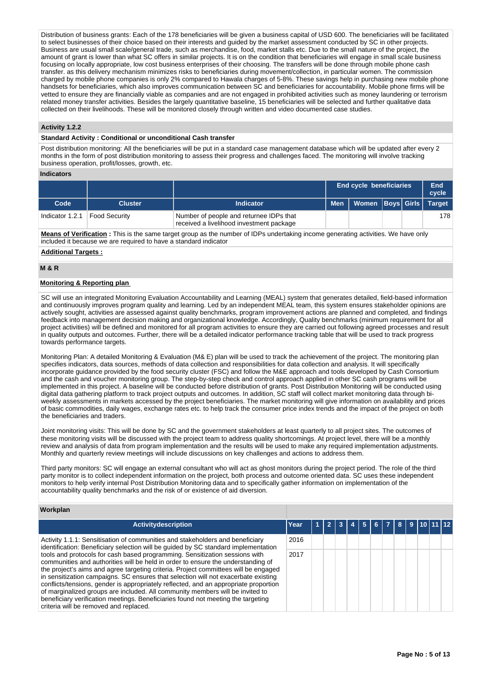Distribution of business grants: Each of the 178 beneficiaries will be given a business capital of USD 600. The beneficiaries will be facilitated to select businesses of their choice based on their interests and guided by the market assessment conducted by SC in other projects. Business are usual small scale/general trade, such as merchandise, food, market stalls etc. Due to the small nature of the project, the amount of grant is lower than what SC offers in similar projects. It is on the condition that beneficiaries will engage in small scale business focusing on locally appropriate, low cost business enterprises of their choosing. The transfers will be done through mobile phone cash transfer. as this delivery mechanism minimizes risks to beneficiaries during movement/collection, in particular women. The commission charged by mobile phone companies is only 2% compared to Hawala charges of 5-8%. These savings help in purchasing new mobile phone handsets for beneficiaries, which also improves communication between SC and beneficiaries for accountability. Mobile phone firms will be vetted to ensure they are financially viable as companies and are not engaged in prohibited activities such as money laundering or terrorism related money transfer activities. Besides the largely quantitative baseline, 15 beneficiaries will be selected and further qualitative data collected on their livelihoods. These will be monitored closely through written and video documented case studies.

## **Activity 1.2.2**

#### **Standard Activity : Conditional or unconditional Cash transfer**

Post distribution monitoring: All the beneficiaries will be put in a standard case management database which will be updated after every 2 months in the form of post distribution monitoring to assess their progress and challenges faced. The monitoring will involve tracking business operation, profit/losses, growth, etc.

### **Indicators**

|                 |                |                                                                                     |            | <b>End cycle beneficiaries</b> |  | End<br>cycle |
|-----------------|----------------|-------------------------------------------------------------------------------------|------------|--------------------------------|--|--------------|
| Code            | <b>Cluster</b> | <b>Indicator</b>                                                                    | <b>Men</b> | Women Boys Girls   Target      |  |              |
| Indicator 1.2.1 | Food Security  | Number of people and returnee IDPs that<br>received a livelihood investment package |            |                                |  | 178          |

**Means of Verification :** This is the same target group as the number of IDPs undertaking income generating activities. We have only included it because we are required to have a standard indicator

### **Additional Targets :**

## **M & R**

## **Monitoring & Reporting plan**

SC will use an integrated Monitoring Evaluation Accountability and Learning (MEAL) system that generates detailed, field-based information and continuously improves program quality and learning. Led by an independent MEAL team, this system ensures stakeholder opinions are actively sought, activities are assessed against quality benchmarks, program improvement actions are planned and completed, and findings feedback into management decision making and organizational knowledge. Accordingly, Quality benchmarks (minimum requirement for all project activities) will be defined and monitored for all program activities to ensure they are carried out following agreed processes and result in quality outputs and outcomes. Further, there will be a detailed indicator performance tracking table that will be used to track progress towards performance targets.

Monitoring Plan: A detailed Monitoring & Evaluation (M& E) plan will be used to track the achievement of the project. The monitoring plan specifies indicators, data sources, methods of data collection and responsibilities for data collection and analysis. It will specifically incorporate guidance provided by the food security cluster (FSC) and follow the M&E approach and tools developed by Cash Consortium and the cash and voucher monitoring group. The step-by-step check and control approach applied in other SC cash programs will be implemented in this project. A baseline will be conducted before distribution of grants. Post Distribution Monitoring will be conducted using digital data gathering platform to track project outputs and outcomes. In addition, SC staff will collect market monitoring data through biweekly assessments in markets accessed by the project beneficiaries. The market monitoring will give information on availability and prices of basic commodities, daily wages, exchange rates etc. to help track the consumer price index trends and the impact of the project on both the beneficiaries and traders.

Joint monitoring visits: This will be done by SC and the government stakeholders at least quarterly to all project sites. The outcomes of these monitoring visits will be discussed with the project team to address quality shortcomings. At project level, there will be a monthly review and analysis of data from program implementation and the results will be used to make any required implementation adjustments. Monthly and quarterly review meetings will include discussions on key challenges and actions to address them.

Third party monitors: SC will engage an external consultant who will act as ghost monitors during the project period. The role of the third party monitor is to collect independent information on the project, both process and outcome oriented data. SC uses these independent monitors to help verify internal Post Distribution Monitoring data and to specifically gather information on implementation of the accountability quality benchmarks and the risk of or existence of aid diversion.

### **Workplan**

| <b>Activitydescription</b>                                                                                                                                                                                                                                                                                                                                                                                                                                                                                                                                                                                                                          | Year |  | $12$ $3$ $4$ $15$ $6$ $17$ $18$ $19$ $110$ $111$ $12$ |  |  |  |  |
|-----------------------------------------------------------------------------------------------------------------------------------------------------------------------------------------------------------------------------------------------------------------------------------------------------------------------------------------------------------------------------------------------------------------------------------------------------------------------------------------------------------------------------------------------------------------------------------------------------------------------------------------------------|------|--|-------------------------------------------------------|--|--|--|--|
| Activity 1.1.1: Sensitisation of communities and stakeholders and beneficiary<br>identification: Beneficiary selection will be guided by SC standard implementation                                                                                                                                                                                                                                                                                                                                                                                                                                                                                 | 2016 |  |                                                       |  |  |  |  |
| tools and protocols for cash based programming. Sensitization sessions with<br>communities and authorities will be held in order to ensure the understanding of<br>the project's aims and agree targeting criteria. Project committees will be engaged<br>in sensitization campaigns. SC ensures that selection will not exacerbate existing<br>conflicts/tensions, gender is appropriately reflected, and an appropriate proportion<br>of marginalized groups are included. All community members will be invited to<br>beneficiary verification meetings. Beneficiaries found not meeting the targeting<br>criteria will be removed and replaced. | 2017 |  |                                                       |  |  |  |  |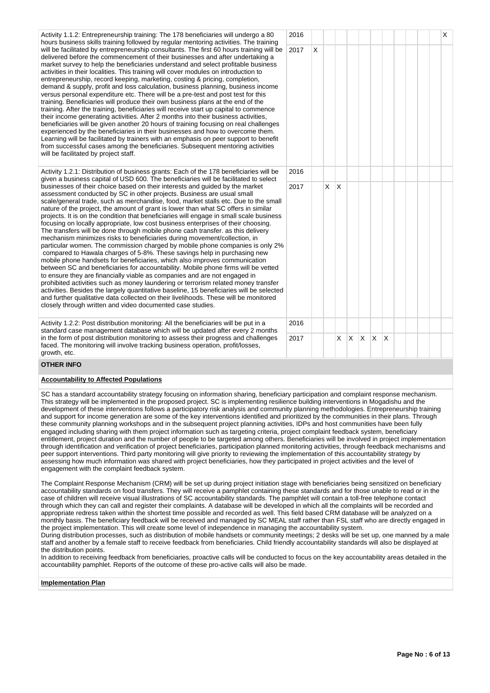Activity 1.1.2: Entrepreneurship training: The 178 beneficiaries will undergo a 80 hours business skills training followed by regular mentoring activities. The training will be facilitated by entrepreneurship consultants. The first 60 hours training will be delivered before the commencement of their businesses and after undertaking a market survey to help the beneficiaries understand and select profitable business activities in their localities. This training will cover modules on introduction to entrepreneurship, record keeping, marketing, costing & pricing, completion, demand & supply, profit and loss calculation, business planning, business income versus personal expenditure etc. There will be a pre-test and post test for this training. Beneficiaries will produce their own business plans at the end of the training. After the training, beneficiaries will receive start up capital to commence their income generating activities. After 2 months into their business activities, beneficiaries will be given another 20 hours of training focusing on real challenges experienced by the beneficiaries in their businesses and how to overcome them. Learning will be facilitated by trainers with an emphasis on peer support to benefit from successful cases among the beneficiaries. Subsequent mentoring activities will be facilitated by project staff.

Activity 1.2.1: Distribution of business grants: Each of the 178 beneficiaries will be given a business capital of USD 600. The beneficiaries will be facilitated to select businesses of their choice based on their interests and guided by the market assessment conducted by SC in other projects. Business are usual small scale/general trade, such as merchandise, food, market stalls etc. Due to the small nature of the project, the amount of grant is lower than what SC offers in similar projects. It is on the condition that beneficiaries will engage in small scale business focusing on locally appropriate, low cost business enterprises of their choosing. The transfers will be done through mobile phone cash transfer. as this delivery mechanism minimizes risks to beneficiaries during movement/collection, in particular women. The commission charged by mobile phone companies is only 2% compared to Hawala charges of 5-8%. These savings help in purchasing new mobile phone handsets for beneficiaries, which also improves communication between SC and beneficiaries for accountability. Mobile phone firms will be vetted to ensure they are financially viable as companies and are not engaged in prohibited activities such as money laundering or terrorism related money transfer activities. Besides the largely quantitative baseline, 15 beneficiaries will be selected and further qualitative data collected on their livelihoods. These will be monitored closely through written and video documented case studies.

Activity 1.2.2: Post distribution monitoring: All the beneficiaries will be put in a standard case management database which will be updated after every 2 months in the form of post distribution monitoring to assess their progress and challenges faced. The monitoring will involve tracking business operation, profit/losses, growth, etc.

|             | 2016 |                           |                         |                         |                         |                         |                         |                         |  |  | $\overline{\mathsf{x}}$ |
|-------------|------|---------------------------|-------------------------|-------------------------|-------------------------|-------------------------|-------------------------|-------------------------|--|--|-------------------------|
| į,          | 2017 | $\boldsymbol{\mathsf{X}}$ |                         |                         |                         |                         |                         |                         |  |  |                         |
|             | 2016 |                           |                         |                         |                         |                         |                         |                         |  |  |                         |
| .<br>D<br>I | 2017 |                           | $\overline{\mathsf{x}}$ | $\sf X$                 |                         |                         |                         |                         |  |  |                         |
|             | 2016 |                           |                         |                         |                         |                         |                         |                         |  |  |                         |
|             | 2017 |                           |                         | $\overline{\mathsf{X}}$ | $\overline{\mathsf{x}}$ | $\overline{\mathsf{x}}$ | $\overline{\mathsf{X}}$ | $\overline{\mathsf{X}}$ |  |  |                         |

### **OTHER INFO**

## **Accountability to Affected Populations**

SC has a standard accountability strategy focusing on information sharing, beneficiary participation and complaint response mechanism. This strategy will be implemented in the proposed project. SC is implementing resilience building interventions in Mogadishu and the development of these interventions follows a participatory risk analysis and community planning methodologies. Entrepreneurship training and support for income generation are some of the key interventions identified and prioritized by the communities in their plans. Through these community planning workshops and in the subsequent project planning activities, IDPs and host communities have been fully engaged including sharing with them project information such as targeting criteria, project complaint feedback system, beneficiary entitlement, project duration and the number of people to be targeted among others. Beneficiaries will be involved in project implementation through identification and verification of project beneficiaries, participation planned monitoring activities, through feedback mechanisms and peer support interventions. Third party monitoring will give priority to reviewing the implementation of this accountability strategy by assessing how much information was shared with project beneficiaries, how they participated in project activities and the level of engagement with the complaint feedback system.

The Complaint Response Mechanism (CRM) will be set up during project initiation stage with beneficiaries being sensitized on beneficiary accountability standards on food transfers. They will receive a pamphlet containing these standards and for those unable to read or in the case of children will receive visual illustrations of SC accountability standards. The pamphlet will contain a toll-free telephone contact through which they can call and register their complaints. A database will be developed in which all the complaints will be recorded and appropriate redress taken within the shortest time possible and recorded as well. This field based CRM database will be analyzed on a monthly basis. The beneficiary feedback will be received and managed by SC MEAL staff rather than FSL staff who are directly engaged in the project implementation. This will create some level of independence in managing the accountability system.

During distribution processes, such as distribution of mobile handsets or community meetings; 2 desks will be set up, one manned by a male staff and another by a female staff to receive feedback from beneficiaries. Child friendly accountability standards will also be displayed at the distribution points.

In addition to receiving feedback from beneficiaries, proactive calls will be conducted to focus on the key accountability areas detailed in the accountability pamphlet. Reports of the outcome of these pro-active calls will also be made.

#### **Implementation Plan**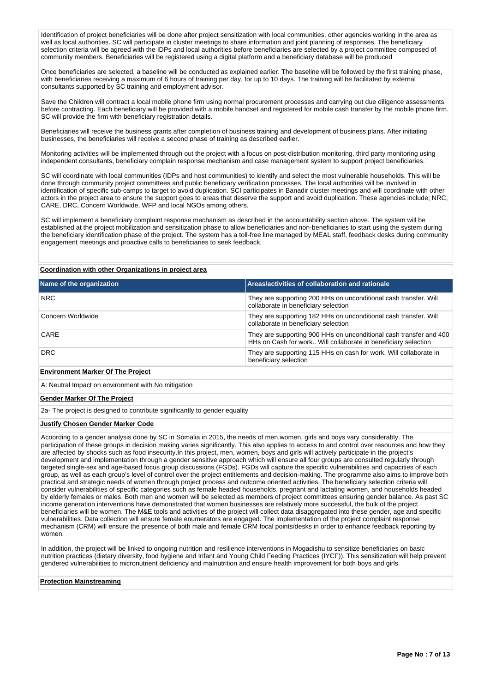Identification of project beneficiaries will be done after project sensitization with local communities, other agencies working in the area as well as local authorities. SC will participate in cluster meetings to share information and joint planning of responses. The beneficiary selection criteria will be agreed with the IDPs and local authorities before beneficiaries are selected by a project committee composed of community members. Beneficiaries will be registered using a digital platform and a beneficiary database will be produced

Once beneficiaries are selected, a baseline will be conducted as explained earlier. The baseline will be followed by the first training phase, with beneficiaries receiving a maximum of 6 hours of training per day, for up to 10 days. The training will be facilitated by external consultants supported by SC training and employment advisor.

Save the Children will contract a local mobile phone firm using normal procurement processes and carrying out due diligence assessments before contracting. Each beneficiary will be provided with a mobile handset and registered for mobile cash transfer by the mobile phone firm. SC will provide the firm with beneficiary registration details.

Beneficiaries will receive the business grants after completion of business training and development of business plans. After initiating businesses, the beneficiaries will receive a second phase of training as described earlier.

Monitoring activities will be implemented through out the project with a focus on post-distribution monitoring, third party monitoring using independent consultants, beneficiary complain response mechanism and case management system to support project beneficiaries.

SC will coordinate with local communities (IDPs and host communities) to identify and select the most vulnerable households. This will be done through community project committees and public beneficiary verification processes. The local authorities will be involved in identification of specific sub-camps to target to avoid duplication. SCI participates in Banadir cluster meetings and will coordinate with other actors in the project area to ensure the support goes to areas that deserve the support and avoid duplication. These agencies include; NRC, CARE, DRC, Concern Worldwide, WFP and local NGOs among others.

SC will implement a beneficiary complaint response mechanism as described in the accountability section above. The system will be established at the project mobilization and sensitization phase to allow beneficiaries and non-beneficiaries to start using the system during the beneficiary identification phase of the project. The system has a toll-free line managed by MEAL staff, feedback desks during community engagement meetings and proactive calls to beneficiaries to seek feedback.

## **Coordination with other Organizations in project area**

| Name of the organization          | Areas/activities of collaboration and rationale                                                                                      |
|-----------------------------------|--------------------------------------------------------------------------------------------------------------------------------------|
| NRC.                              | They are supporting 200 HHs on unconditional cash transfer. Will<br>collaborate in beneficiary selection                             |
| Concern Worldwide                 | They are supporting 182 HHs on unconditional cash transfer. Will<br>collaborate in beneficiary selection                             |
| CARE                              | They are supporting 900 HHs on unconditional cash transfer and 400<br>HHs on Cash for work Will collaborate in beneficiary selection |
| DRC.                              | They are supporting 115 HHs on cash for work. Will collaborate in<br>beneficiary selection                                           |
| Environment Marker Of The Project |                                                                                                                                      |

#### **Environment Marker Of The Project**

A: Neutral Impact on environment with No mitigation

### **Gender Marker Of The Project**

2a- The project is designed to contribute significantly to gender equality

#### **Justify Chosen Gender Marker Code**

Acoording to a gender analysis done by SC in Somalia in 2015, the needs of men,women, girls and boys vary considerably. The participation of these groups in decision making varies significantly. This also applies to access to and control over resources and how they are affected by shocks such as food insecurity.In this project, men, women, boys and girls will actively participate in the project's development and implementation through a gender sensitive approach which will ensure all four groups are consulted regularly through targeted single-sex and age-based focus group discussions (FGDs). FGDs will capture the specific vulnerabilities and capacities of each group, as well as each group's level of control over the project entitlements and decision-making. The programme also aims to improve both practical and strategic needs of women through project process and outcome oriented activities. The beneficiary selection criteria will consider vulnerabilities of specific categories such as female headed households, pregnant and lactating women, and households headed by elderly females or males. Both men and women will be selected as members of project committees ensuring gender balance. As past SC income generation interventions have demonstrated that women businesses are relatively more successful, the bulk of the project beneficiaries will be women. The M&E tools and activities of the project will collect data disaggregated into these gender, age and specific vulnerabilities. Data collection will ensure female enumerators are engaged. The implementation of the project complaint response mechanism (CRM) will ensure the presence of both male and female CRM focal points/desks in order to enhance feedback reporting by women.

In addition, the project will be linked to ongoing nutrition and resilience interventions in Mogadishu to sensitize beneficiaries on basic nutrition practices (dietary diversity, food hygiene and Infant and Young Child Feeding Practices (IYCF)). This sensitization will help prevent gendered vulnerabilities to micronutrient deficiency and malnutrition and ensure health improvement for both boys and girls.

### **Protection Mainstreaming**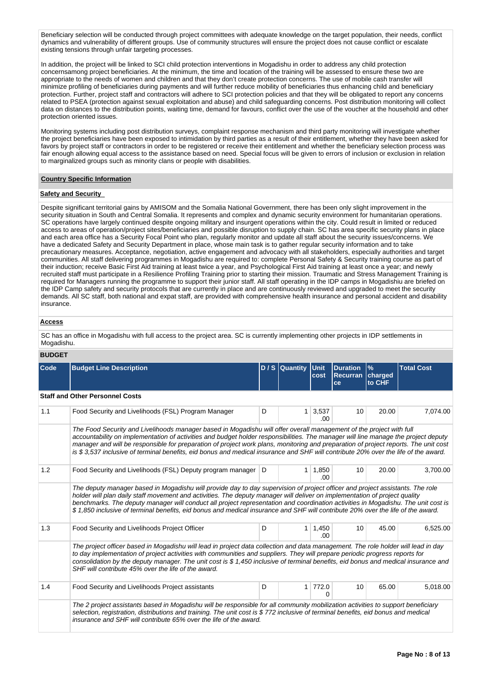Beneficiary selection will be conducted through project committees with adequate knowledge on the target population, their needs, conflict dynamics and vulnerability of different groups. Use of community structures will ensure the project does not cause conflict or escalate existing tensions through unfair targeting processes.

In addition, the project will be linked to SCI child protection interventions in Mogadishu in order to address any child protection concernsamong project beneficiaries. At the minimum, the time and location of the training will be assessed to ensure these two are appropriate to the needs of women and children and that they don't create protection concerns. The use of mobile cash transfer will minimize profiling of beneficiaries during payments and will further reduce mobility of beneficiaries thus enhancing child and beneficiary protection. Further, project staff and contractors will adhere to SCI protection policies and that they will be obligated to report any concerns related to PSEA (protection against sexual exploitation and abuse) and child safeguarding concerns. Post distribution monitoring will collect data on distances to the distribution points, waiting time, demand for favours, conflict over the use of the voucher at the household and other protection oriented issues.

Monitoring systems including post distribution surveys, complaint response mechanism and third party monitoring will investigate whether the project beneficiaries have been exposed to intimidation by third parties as a result of their entitlement, whether they have been asked for favors by project staff or contractors in order to be registered or receive their entitlement and whether the beneficiary selection process was fair enough allowing equal access to the assistance based on need. Special focus will be given to errors of inclusion or exclusion in relation to marginalized groups such as minority clans or people with disabilities.

### **Country Specific Information**

## **Safety and Security**

Despite significant territorial gains by AMISOM and the Somalia National Government, there has been only slight improvement in the security situation in South and Central Somalia. It represents and complex and dynamic security environment for humanitarian operations. SC operations have largely continued despite ongoing military and insurgent operations within the city. Could result in limited or reduced access to areas of operation/project sites/beneficiaries and possible disruption to supply chain. SC has area specific security plans in place and each area office has a Security Focal Point who plan, regularly monitor and update all staff about the security issues/concerns. We have a dedicated Safety and Security Department in place, whose main task is to gather regular security information and to take precautionary measures. Acceptance, negotiation, active engagement and advocacy with all stakeholders, especially authorities and target communities. All staff delivering programmes in Mogadishu are required to: complete Personal Safety & Security training course as part of their induction; receive Basic First Aid training at least twice a year, and Psychological First Aid training at least once a year; and newly recruited staff must participate in a Resilience Profiling Training prior to starting their mission. Traumatic and Stress Management Training is required for Managers running the programme to support their junior staff. All staff operating in the IDP camps in Mogadishiu are briefed on the IDP Camp safety and security protocols that are currently in place and are continuously reviewed and upgraded to meet the security demands. All SC staff, both national and expat staff, are provided with comprehensive health insurance and personal accident and disability insurance.

## **Access**

SC has an office in Mogadishu with full access to the project area. SC is currently implementing other projects in IDP settlements in Mogadishu.

### **BUDGET**

| Code | <b>Budget Line Description</b>                                                                                                                                                                                                                                                                                                                                                                                                                                                                                                         |   | D / S Quantity | Unit<br>cost             | <b>Duration</b><br>Recurran charged<br>ce | $\frac{9}{6}$<br>to CHF | <b>Total Cost</b> |
|------|----------------------------------------------------------------------------------------------------------------------------------------------------------------------------------------------------------------------------------------------------------------------------------------------------------------------------------------------------------------------------------------------------------------------------------------------------------------------------------------------------------------------------------------|---|----------------|--------------------------|-------------------------------------------|-------------------------|-------------------|
|      | <b>Staff and Other Personnel Costs</b>                                                                                                                                                                                                                                                                                                                                                                                                                                                                                                 |   |                |                          |                                           |                         |                   |
| 1.1  | Food Security and Livelihoods (FSL) Program Manager                                                                                                                                                                                                                                                                                                                                                                                                                                                                                    | D | $\mathbf{1}$   | 3,537<br>.00.            | 10                                        | 20.00                   | 7,074.00          |
|      | The Food Security and Livelihoods manager based in Mogadishu will offer overall management of the project with full<br>accountability on implementation of activities and budget holder responsibilities. The manager will line manage the project deputy<br>manager and will be responsible for preparation of project work plans, monitoring and preparation of project reports. The unit cost<br>is \$3,537 inclusive of terminal benefits, eid bonus and medical insurance and SHF will contribute 20% over the life of the award. |   |                |                          |                                           |                         |                   |
| 1.2  | Food Security and Livelihoods (FSL) Deputy program manager                                                                                                                                                                                                                                                                                                                                                                                                                                                                             | D | 1 <sup>1</sup> | 1,850<br>.00             | 10                                        | 20.00                   | 3.700.00          |
|      | The deputy manager based in Mogadishu will provide day to day supervision of project officer and project assistants. The role<br>holder will plan daily staff movement and activities. The deputy manager will deliver on implementation of project quality<br>benchmarks. The deputy manager will conduct all project representation and coordination activities in Mogadishu. The unit cost is<br>\$1,850 inclusive of terminal benefits, eid bonus and medical insurance and SHF will contribute 20% over the life of the award.    |   |                |                          |                                           |                         |                   |
| 1.3  | Food Security and Livelihoods Project Officer                                                                                                                                                                                                                                                                                                                                                                                                                                                                                          | D | 1 <sup>1</sup> | 1,450<br>00 <sub>1</sub> | 10                                        | 45.00                   | 6.525.00          |
|      | The project officer based in Mogadishu will lead in project data collection and data management. The role holder will lead in day<br>to day implementation of project activities with communities and suppliers. They will prepare periodic progress reports for<br>consolidation by the deputy manager. The unit cost is \$1,450 inclusive of terminal benefits, eid bonus and medical insurance and<br>SHF will contribute 45% over the life of the award.                                                                           |   |                |                          |                                           |                         |                   |
| 1.4  | Food Security and Livelihoods Project assistants                                                                                                                                                                                                                                                                                                                                                                                                                                                                                       | D | 1              | 772.0                    | 10                                        | 65.00                   | 5,018.00          |
|      | The 2 project assistants based in Mogadishu will be responsible for all community mobilization activities to support beneficiary<br>selection, registration, distributions and training. The unit cost is \$772 inclusive of terminal benefits, eid bonus and medical<br>insurance and SHF will contribute 65% over the life of the award.                                                                                                                                                                                             |   |                |                          |                                           |                         |                   |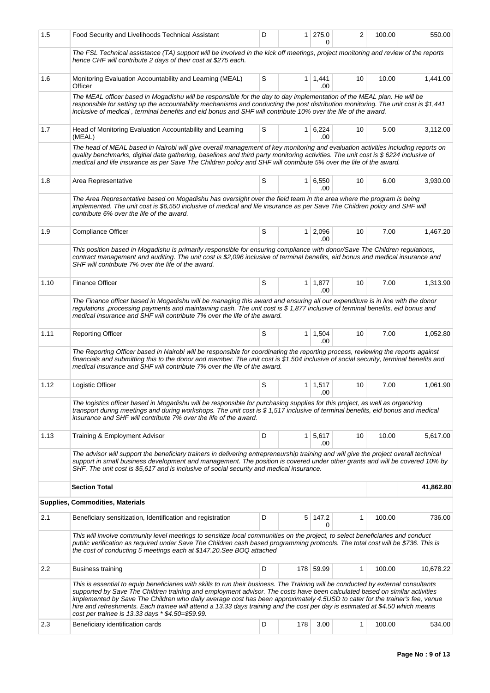| 1.5  | Food Security and Livelihoods Technical Assistant                                                                                                                                                                                                                                                                                                                                                                                                                                                                                                                                    | D | 1 <sup>1</sup> | 275.0<br>0            | 2            | 100.00 | 550.00    |  |  |
|------|--------------------------------------------------------------------------------------------------------------------------------------------------------------------------------------------------------------------------------------------------------------------------------------------------------------------------------------------------------------------------------------------------------------------------------------------------------------------------------------------------------------------------------------------------------------------------------------|---|----------------|-----------------------|--------------|--------|-----------|--|--|
|      | The FSL Technical assistance (TA) support will be involved in the kick off meetings, project monitoring and review of the reports<br>hence CHF will contribute 2 days of their cost at \$275 each.                                                                                                                                                                                                                                                                                                                                                                                   |   |                |                       |              |        |           |  |  |
| 1.6  | Monitoring Evaluation Accountability and Learning (MEAL)<br>Officer                                                                                                                                                                                                                                                                                                                                                                                                                                                                                                                  | S |                | $1 \mid 1,441$<br>.00 | 10           | 10.00  | 1,441.00  |  |  |
|      | The MEAL officer based in Mogadishu will be responsible for the day to day implementation of the MEAL plan. He will be<br>responsible for setting up the accountability mechanisms and conducting the post distribution monitoring. The unit cost is \$1,441<br>inclusive of medical, terminal benefits and eid bonus and SHF will contribute 10% over the life of the award.                                                                                                                                                                                                        |   |                |                       |              |        |           |  |  |
| 1.7  | Head of Monitoring Evaluation Accountability and Learning<br>(MEAL)                                                                                                                                                                                                                                                                                                                                                                                                                                                                                                                  | S |                | $1 \mid 6,224$<br>.00 | 10           | 5.00   | 3,112.00  |  |  |
|      | The head of MEAL based in Nairobi will give overall management of key monitoring and evaluation activities including reports on<br>quality benchmarks, digitial data gathering, baselines and third party monitoring activities. The unit cost is \$ 6224 inclusive of<br>medical and life insurance as per Save The Children policy and SHF will contribute 5% over the life of the award.                                                                                                                                                                                          |   |                |                       |              |        |           |  |  |
| 1.8  | Area Representative                                                                                                                                                                                                                                                                                                                                                                                                                                                                                                                                                                  | S | 1 <sup>1</sup> | 6,550<br>.00          | 10           | 6.00   | 3,930.00  |  |  |
|      | The Area Representative based on Mogadishu has oversight over the field team in the area where the program is being<br>implemented. The unit cost is \$6,550 inclusive of medical and life insurance as per Save The Children policy and SHF will<br>contribute 6% over the life of the award.                                                                                                                                                                                                                                                                                       |   |                |                       |              |        |           |  |  |
| 1.9  | Compliance Officer                                                                                                                                                                                                                                                                                                                                                                                                                                                                                                                                                                   | S |                | $1 \mid 2,096$<br>.00 | 10           | 7.00   | 1,467.20  |  |  |
|      | This position based in Mogadishu is primarily responsible for ensuring compliance with donor/Save The Children regulations,<br>contract management and auditing. The unit cost is \$2,096 inclusive of terminal benefits, eid bonus and medical insurance and<br>SHF will contribute 7% over the life of the award.                                                                                                                                                                                                                                                                  |   |                |                       |              |        |           |  |  |
| 1.10 | Finance Officer                                                                                                                                                                                                                                                                                                                                                                                                                                                                                                                                                                      | S |                | $1 \mid 1,877$<br>.00 | 10           | 7.00   | 1,313.90  |  |  |
|      | The Finance officer based in Mogadishu will be managing this award and ensuring all our expenditure is in line with the donor<br>regulations , processing payments and maintaining cash. The unit cost is \$1,877 inclusive of terminal benefits, eid bonus and<br>medical insurance and SHF will contribute 7% over the life of the award.                                                                                                                                                                                                                                          |   |                |                       |              |        |           |  |  |
| 1.11 | <b>Reporting Officer</b>                                                                                                                                                                                                                                                                                                                                                                                                                                                                                                                                                             | S | $\mathbf{1}$   | 1,504<br>.00          | 10           | 7.00   | 1,052.80  |  |  |
|      | The Reporting Officer based in Nairobi will be responsible for coordinating the reporting process, reviewing the reports against<br>financials and submitting this to the donor and member. The unit cost is \$1,504 inclusive of social security, terminal benefits and<br>medical insurance and SHF will contribute 7% over the life of the award.                                                                                                                                                                                                                                 |   |                |                       |              |        |           |  |  |
| 1.12 | Logistic Officer                                                                                                                                                                                                                                                                                                                                                                                                                                                                                                                                                                     | S |                | $1 \mid 1,517$<br>.00 | 10           | 7.00   | 1,061.90  |  |  |
|      | The logistics officer based in Mogadishu will be responsible for purchasing supplies for this project, as well as organizing<br>transport during meetings and during workshops. The unit cost is \$1,517 inclusive of terminal benefits, eid bonus and medical<br>insurance and SHF will contribute 7% over the life of the award.                                                                                                                                                                                                                                                   |   |                |                       |              |        |           |  |  |
| 1.13 | Training & Employment Advisor                                                                                                                                                                                                                                                                                                                                                                                                                                                                                                                                                        | D |                | $1 \mid 5,617$<br>.00 | 10           | 10.00  | 5,617.00  |  |  |
|      | The advisor will support the beneficiary trainers in delivering entrepreneurship training and will give the project overall technical<br>support in small business development and management. The position is covered under other grants and will be covered 10% by<br>SHF. The unit cost is \$5,617 and is inclusive of social security and medical insurance.                                                                                                                                                                                                                     |   |                |                       |              |        |           |  |  |
|      | <b>Section Total</b>                                                                                                                                                                                                                                                                                                                                                                                                                                                                                                                                                                 |   |                |                       |              |        | 41,862.80 |  |  |
|      | <b>Supplies, Commodities, Materials</b>                                                                                                                                                                                                                                                                                                                                                                                                                                                                                                                                              |   |                |                       |              |        |           |  |  |
| 2.1  | Beneficiary sensitization, Identification and registration                                                                                                                                                                                                                                                                                                                                                                                                                                                                                                                           | D |                | 5 147.2<br>0          | $\mathbf{1}$ | 100.00 | 736.00    |  |  |
|      | This will involve community level meetings to sensitize local communities on the project, to select beneficiaries and conduct<br>public verification as required under Save The Children cash based programming protocols. The total cost will be \$736. This is<br>the cost of conducting 5 meetings each at \$147.20. See BOQ attached                                                                                                                                                                                                                                             |   |                |                       |              |        |           |  |  |
| 2.2  | Business training                                                                                                                                                                                                                                                                                                                                                                                                                                                                                                                                                                    | D |                | 178 59.99             | 1            | 100.00 | 10,678.22 |  |  |
|      | This is essential to equip beneficiaries with skills to run their business. The Training will be conducted by external consultants<br>supported by Save The Children training and employment advisor. The costs have been calculated based on similar activities<br>implemented by Save The Children who daily average cost has been approximately 4.5USD to cater for the trainer's fee, venue<br>hire and refreshments. Each trainee will attend a 13.33 days training and the cost per day is estimated at \$4.50 which means<br>cost per trainee is 13.33 days * \$4.50=\$59.99. |   |                |                       |              |        |           |  |  |
| 2.3  | Beneficiary identification cards                                                                                                                                                                                                                                                                                                                                                                                                                                                                                                                                                     | D | 178            | 3.00                  | 1            | 100.00 | 534.00    |  |  |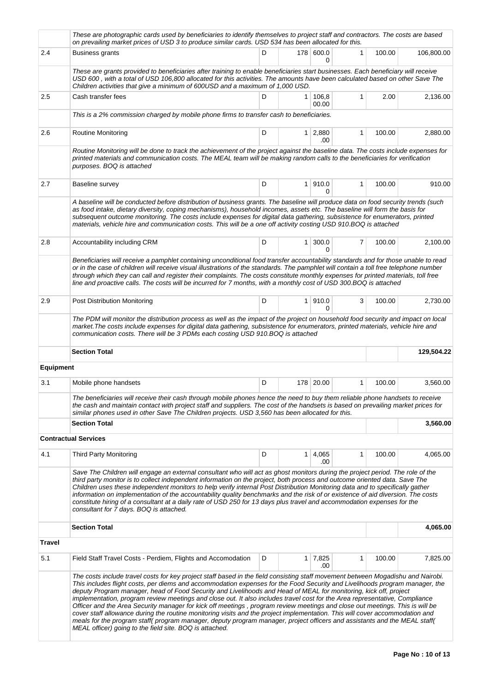|                  | These are photographic cards used by beneficiaries to identify themselves to project staff and contractors. The costs are based<br>on prevailing market prices of USD 3 to produce similar cards. USD 534 has been allocated for this.                                                                                                                                                                                                                                                                                                                                                                                                                                                                 |   |                        |                |        |            |
|------------------|--------------------------------------------------------------------------------------------------------------------------------------------------------------------------------------------------------------------------------------------------------------------------------------------------------------------------------------------------------------------------------------------------------------------------------------------------------------------------------------------------------------------------------------------------------------------------------------------------------------------------------------------------------------------------------------------------------|---|------------------------|----------------|--------|------------|
| 2.4              | <b>Business grants</b>                                                                                                                                                                                                                                                                                                                                                                                                                                                                                                                                                                                                                                                                                 | D | 178 600.0<br>$\Omega$  | 1              | 100.00 | 106,800.00 |
|                  | These are grants provided to beneficiaries after training to enable beneficiaries start businesses. Each beneficiary will receive<br>USD 600, with a total of USD 106,800 allocated for this activities. The amounts have been calculated based on other Save The<br>Children activities that give a minimum of 600USD and a maximum of 1,000 USD.                                                                                                                                                                                                                                                                                                                                                     |   |                        |                |        |            |
| 2.5              | Cash transfer fees                                                                                                                                                                                                                                                                                                                                                                                                                                                                                                                                                                                                                                                                                     | D | 1 106,8<br>00.00       | $\mathbf{1}$   | 2.00   | 2,136.00   |
|                  | This is a 2% commission charged by mobile phone firms to transfer cash to beneficiaries.                                                                                                                                                                                                                                                                                                                                                                                                                                                                                                                                                                                                               |   |                        |                |        |            |
| 2.6              | <b>Routine Monitoring</b>                                                                                                                                                                                                                                                                                                                                                                                                                                                                                                                                                                                                                                                                              | D | $1 \mid 2,880$<br>.00  | 1              | 100.00 | 2,880.00   |
|                  | Routine Monitoring will be done to track the achievement of the project against the baseline data. The costs include expenses for<br>printed materials and communication costs. The MEAL team will be making random calls to the beneficiaries for verification<br>purposes. BOQ is attached                                                                                                                                                                                                                                                                                                                                                                                                           |   |                        |                |        |            |
| 2.7              | Baseline survey                                                                                                                                                                                                                                                                                                                                                                                                                                                                                                                                                                                                                                                                                        | D | 1   910.0<br>0         | $\mathbf{1}$   | 100.00 | 910.00     |
|                  | A baseline will be conducted before distribution of business grants. The baseline will produce data on food security trends (such<br>as food intake, dietary diversity, coping mechanisms), household incomes, assets etc. The baseline will form the basis for<br>subsequent outcome monitoring. The costs include expenses for digital data gathering, subsistence for enumerators, printed<br>materials, vehicle hire and communication costs. This will be a one off activity costing USD 910.BOQ is attached                                                                                                                                                                                      |   |                        |                |        |            |
| 2.8              | Accountability including CRM                                                                                                                                                                                                                                                                                                                                                                                                                                                                                                                                                                                                                                                                           | D | $1 \, 300.0$<br>0      | $\overline{7}$ | 100.00 | 2,100.00   |
|                  | Beneficiaries will receive a pamphlet containing unconditional food transfer accountability standards and for those unable to read<br>or in the case of children will receive visual illustrations of the standards. The pamphlet will contain a toll free telephone number<br>through which they can call and register their complaints. The costs constitute monthly expenses for printed materials, toll free<br>line and proactive calls. The costs will be incurred for 7 months, with a monthly cost of USD 300.BOQ is attached                                                                                                                                                                  |   |                        |                |        |            |
| 2.9              | Post Distribution Monitoring                                                                                                                                                                                                                                                                                                                                                                                                                                                                                                                                                                                                                                                                           | D | 1 910.0<br>$\Omega$    | 3              | 100.00 | 2,730.00   |
|                  | The PDM will monitor the distribution process as well as the impact of the project on household food security and impact on local<br>market. The costs include expenses for digital data gathering, subsistence for enumerators, printed materials, vehicle hire and<br>communication costs. There will be 3 PDMs each costing USD 910.BOQ is attached                                                                                                                                                                                                                                                                                                                                                 |   |                        |                |        |            |
|                  | <b>Section Total</b>                                                                                                                                                                                                                                                                                                                                                                                                                                                                                                                                                                                                                                                                                   |   |                        |                |        | 129,504.22 |
| <b>Equipment</b> |                                                                                                                                                                                                                                                                                                                                                                                                                                                                                                                                                                                                                                                                                                        |   |                        |                |        |            |
| 3.1              | Mobile phone handsets                                                                                                                                                                                                                                                                                                                                                                                                                                                                                                                                                                                                                                                                                  | D | 178 20.00              | $\mathbf{1}$   | 100.00 | 3,560.00   |
|                  | The beneficiaries will receive their cash through mobile phones hence the need to buy them reliable phone handsets to receive<br>the cash and maintain contact with project staff and suppliers. The cost of the handsets is based on prevailing market prices for<br>similar phones used in other Save The Children projects. USD 3,560 has been allocated for this.                                                                                                                                                                                                                                                                                                                                  |   |                        |                |        |            |
|                  | <b>Section Total</b>                                                                                                                                                                                                                                                                                                                                                                                                                                                                                                                                                                                                                                                                                   |   |                        |                |        | 3,560.00   |
|                  | <b>Contractual Services</b>                                                                                                                                                                                                                                                                                                                                                                                                                                                                                                                                                                                                                                                                            |   |                        |                |        |            |
| 4.1              | <b>Third Party Monitoring</b>                                                                                                                                                                                                                                                                                                                                                                                                                                                                                                                                                                                                                                                                          | D | $1 \quad 4,065$<br>.00 | 1              | 100.00 | 4,065.00   |
|                  | Save The Children will engage an external consultant who will act as ghost monitors during the project period. The role of the<br>third party monitor is to collect independent information on the project, both process and outcome oriented data. Save The<br>Children uses these independent monitors to help verify internal Post Distribution Monitoring data and to specifically gather<br>information on implementation of the accountability quality benchmarks and the risk of or existence of aid diversion. The costs<br>constitute hiring of a consultant at a daily rate of USD 250 for 13 days plus travel and accommodation expenses for the<br>consultant for 7 days. BOQ is attached. |   |                        |                |        |            |
|                  | <b>Section Total</b>                                                                                                                                                                                                                                                                                                                                                                                                                                                                                                                                                                                                                                                                                   |   |                        |                |        | 4,065.00   |
| <b>Travel</b>    |                                                                                                                                                                                                                                                                                                                                                                                                                                                                                                                                                                                                                                                                                                        |   |                        |                |        |            |
| 5.1              | Field Staff Travel Costs - Perdiem, Flights and Accomodation                                                                                                                                                                                                                                                                                                                                                                                                                                                                                                                                                                                                                                           | D | 1 7,825<br>.00         | 1              | 100.00 | 7,825.00   |
|                  | The costs include travel costs for key project staff based in the field consisting staff movement between Mogadishu and Nairobi.                                                                                                                                                                                                                                                                                                                                                                                                                                                                                                                                                                       |   |                        |                |        |            |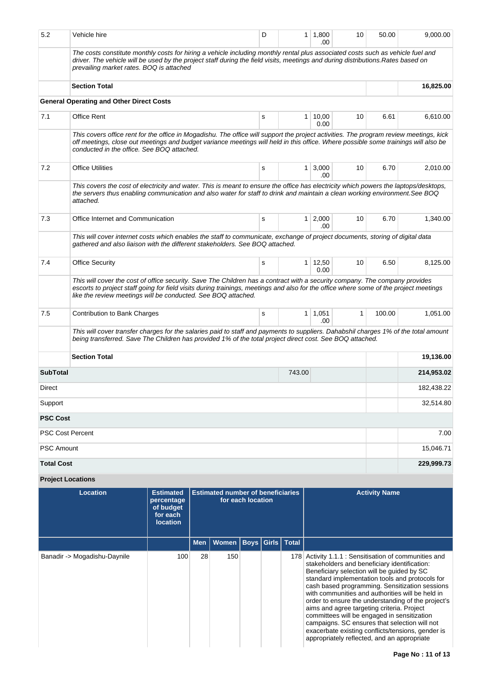| 5.2                                                                                                                                                                                                                                                                              | Vehicle hire                                                                                                                                                                                                                                                                                                                          |                                                                            |     |                                          |                   | D |                         | 1,800<br>10<br>50.00<br>1<br>.00                                                                                                                                                        |    |                                                                                                                                                                                                                                                                                                                                                                                                                           |            |  |  |
|----------------------------------------------------------------------------------------------------------------------------------------------------------------------------------------------------------------------------------------------------------------------------------|---------------------------------------------------------------------------------------------------------------------------------------------------------------------------------------------------------------------------------------------------------------------------------------------------------------------------------------|----------------------------------------------------------------------------|-----|------------------------------------------|-------------------|---|-------------------------|-----------------------------------------------------------------------------------------------------------------------------------------------------------------------------------------|----|---------------------------------------------------------------------------------------------------------------------------------------------------------------------------------------------------------------------------------------------------------------------------------------------------------------------------------------------------------------------------------------------------------------------------|------------|--|--|
|                                                                                                                                                                                                                                                                                  | The costs constitute monthly costs for hiring a vehicle including monthly rental plus associated costs such as vehicle fuel and<br>driver. The vehicle will be used by the project staff during the field visits, meetings and during distributions. Rates based on<br>prevailing market rates. BOQ is attached                       |                                                                            |     |                                          |                   |   |                         |                                                                                                                                                                                         |    |                                                                                                                                                                                                                                                                                                                                                                                                                           |            |  |  |
|                                                                                                                                                                                                                                                                                  | <b>Section Total</b>                                                                                                                                                                                                                                                                                                                  |                                                                            |     |                                          |                   |   |                         |                                                                                                                                                                                         |    |                                                                                                                                                                                                                                                                                                                                                                                                                           | 16,825.00  |  |  |
|                                                                                                                                                                                                                                                                                  | <b>General Operating and Other Direct Costs</b>                                                                                                                                                                                                                                                                                       |                                                                            |     |                                          |                   |   |                         |                                                                                                                                                                                         |    |                                                                                                                                                                                                                                                                                                                                                                                                                           |            |  |  |
| 7.1                                                                                                                                                                                                                                                                              | <b>Office Rent</b>                                                                                                                                                                                                                                                                                                                    |                                                                            |     |                                          |                   | s |                         | $1 \mid 10,00$<br>0.00                                                                                                                                                                  | 10 | 6.61                                                                                                                                                                                                                                                                                                                                                                                                                      | 6,610.00   |  |  |
|                                                                                                                                                                                                                                                                                  | This covers office rent for the office in Mogadishu. The office will support the project activities. The program review meetings, kick<br>off meetings, close out meetings and budget variance meetings will held in this office. Where possible some trainings will also be<br>conducted in the office. See BOQ attached.            |                                                                            |     |                                          |                   |   |                         |                                                                                                                                                                                         |    |                                                                                                                                                                                                                                                                                                                                                                                                                           |            |  |  |
| 7.2                                                                                                                                                                                                                                                                              | <b>Office Utilities</b>                                                                                                                                                                                                                                                                                                               |                                                                            |     |                                          |                   | s |                         | 3,000<br>1<br>.00                                                                                                                                                                       | 10 | 6.70                                                                                                                                                                                                                                                                                                                                                                                                                      | 2,010.00   |  |  |
| This covers the cost of electricity and water. This is meant to ensure the office has electricity which powers the laptops/desktops,<br>the servers thus enabling communication and also water for staff to drink and maintain a clean working environment. See BOQ<br>attached. |                                                                                                                                                                                                                                                                                                                                       |                                                                            |     |                                          |                   |   |                         |                                                                                                                                                                                         |    |                                                                                                                                                                                                                                                                                                                                                                                                                           |            |  |  |
| 7.3                                                                                                                                                                                                                                                                              | Office Internet and Communication                                                                                                                                                                                                                                                                                                     |                                                                            |     |                                          |                   | s |                         | 2,000<br>$\mathbf{1}$<br>.00                                                                                                                                                            | 10 | 6.70                                                                                                                                                                                                                                                                                                                                                                                                                      | 1,340.00   |  |  |
|                                                                                                                                                                                                                                                                                  | This will cover internet costs which enables the staff to communicate, exchange of project documents, storing of digital data<br>gathered and also liaison with the different stakeholders. See BOQ attached.                                                                                                                         |                                                                            |     |                                          |                   |   |                         |                                                                                                                                                                                         |    |                                                                                                                                                                                                                                                                                                                                                                                                                           |            |  |  |
| 7.4                                                                                                                                                                                                                                                                              | <b>Office Security</b>                                                                                                                                                                                                                                                                                                                |                                                                            |     |                                          |                   | s |                         | 12,50<br>1<br>0.00                                                                                                                                                                      | 10 | 6.50                                                                                                                                                                                                                                                                                                                                                                                                                      | 8,125.00   |  |  |
|                                                                                                                                                                                                                                                                                  | This will cover the cost of office security. Save The Children has a contract with a security company. The company provides<br>escorts to project staff going for field visits during trainings, meetings and also for the office where some of the project meetings<br>like the review meetings will be conducted. See BOQ attached. |                                                                            |     |                                          |                   |   |                         |                                                                                                                                                                                         |    |                                                                                                                                                                                                                                                                                                                                                                                                                           |            |  |  |
| 7.5                                                                                                                                                                                                                                                                              | Contribution to Bank Charges                                                                                                                                                                                                                                                                                                          |                                                                            |     |                                          |                   | s |                         | $1 \mid 1,051$<br>.00                                                                                                                                                                   | 1  | 100.00                                                                                                                                                                                                                                                                                                                                                                                                                    | 1,051.00   |  |  |
|                                                                                                                                                                                                                                                                                  | This will cover transfer charges for the salaries paid to staff and payments to suppliers. Dahabshil charges 1% of the total amount<br>being transferred. Save The Children has provided 1% of the total project direct cost. See BOQ attached.                                                                                       |                                                                            |     |                                          |                   |   |                         |                                                                                                                                                                                         |    |                                                                                                                                                                                                                                                                                                                                                                                                                           |            |  |  |
|                                                                                                                                                                                                                                                                                  | <b>Section Total</b>                                                                                                                                                                                                                                                                                                                  |                                                                            |     |                                          |                   |   |                         |                                                                                                                                                                                         |    |                                                                                                                                                                                                                                                                                                                                                                                                                           | 19,136.00  |  |  |
| <b>SubTotal</b>                                                                                                                                                                                                                                                                  |                                                                                                                                                                                                                                                                                                                                       |                                                                            |     |                                          |                   |   | 743.00                  |                                                                                                                                                                                         |    |                                                                                                                                                                                                                                                                                                                                                                                                                           | 214,953.02 |  |  |
| Direct                                                                                                                                                                                                                                                                           |                                                                                                                                                                                                                                                                                                                                       |                                                                            |     |                                          |                   |   |                         |                                                                                                                                                                                         |    |                                                                                                                                                                                                                                                                                                                                                                                                                           | 182,438.22 |  |  |
| Support                                                                                                                                                                                                                                                                          |                                                                                                                                                                                                                                                                                                                                       |                                                                            |     |                                          |                   |   |                         |                                                                                                                                                                                         |    |                                                                                                                                                                                                                                                                                                                                                                                                                           | 32,514.80  |  |  |
| <b>PSC Cost</b>                                                                                                                                                                                                                                                                  |                                                                                                                                                                                                                                                                                                                                       |                                                                            |     |                                          |                   |   |                         |                                                                                                                                                                                         |    |                                                                                                                                                                                                                                                                                                                                                                                                                           |            |  |  |
| <b>PSC Cost Percent</b>                                                                                                                                                                                                                                                          |                                                                                                                                                                                                                                                                                                                                       |                                                                            |     |                                          |                   |   |                         |                                                                                                                                                                                         |    |                                                                                                                                                                                                                                                                                                                                                                                                                           | 7.00       |  |  |
| <b>PSC Amount</b>                                                                                                                                                                                                                                                                |                                                                                                                                                                                                                                                                                                                                       |                                                                            |     |                                          |                   |   |                         |                                                                                                                                                                                         |    |                                                                                                                                                                                                                                                                                                                                                                                                                           | 15,046.71  |  |  |
| <b>Total Cost</b>                                                                                                                                                                                                                                                                |                                                                                                                                                                                                                                                                                                                                       |                                                                            |     |                                          |                   |   |                         |                                                                                                                                                                                         |    |                                                                                                                                                                                                                                                                                                                                                                                                                           | 229,999.73 |  |  |
| <b>Project Locations</b>                                                                                                                                                                                                                                                         |                                                                                                                                                                                                                                                                                                                                       |                                                                            |     |                                          |                   |   |                         |                                                                                                                                                                                         |    |                                                                                                                                                                                                                                                                                                                                                                                                                           |            |  |  |
|                                                                                                                                                                                                                                                                                  | <b>Location</b>                                                                                                                                                                                                                                                                                                                       | <b>Estimated</b><br>percentage<br>of budget<br>for each<br><b>location</b> |     | <b>Estimated number of beneficiaries</b> | for each location |   |                         |                                                                                                                                                                                         |    | <b>Activity Name</b>                                                                                                                                                                                                                                                                                                                                                                                                      |            |  |  |
|                                                                                                                                                                                                                                                                                  |                                                                                                                                                                                                                                                                                                                                       |                                                                            | Men | <b>Women</b>                             |                   |   | <b>Boys Girls Total</b> |                                                                                                                                                                                         |    |                                                                                                                                                                                                                                                                                                                                                                                                                           |            |  |  |
|                                                                                                                                                                                                                                                                                  | Banadir -> Mogadishu-Daynile                                                                                                                                                                                                                                                                                                          | 100<br>28                                                                  | 150 |                                          |                   |   |                         | stakeholders and beneficiary identification:<br>Beneficiary selection will be guided by SC<br>aims and agree targeting criteria. Project<br>appropriately reflected, and an appropriate |    | 178 Activity 1.1.1 : Sensitisation of communities and<br>standard implementation tools and protocols for<br>cash based programming. Sensitization sessions<br>with communities and authorities will be held in<br>order to ensure the understanding of the project's<br>committees will be engaged in sensitization<br>campaigns. SC ensures that selection will not<br>exacerbate existing conflicts/tensions, gender is |            |  |  |
|                                                                                                                                                                                                                                                                                  |                                                                                                                                                                                                                                                                                                                                       |                                                                            |     |                                          |                   |   |                         |                                                                                                                                                                                         |    |                                                                                                                                                                                                                                                                                                                                                                                                                           |            |  |  |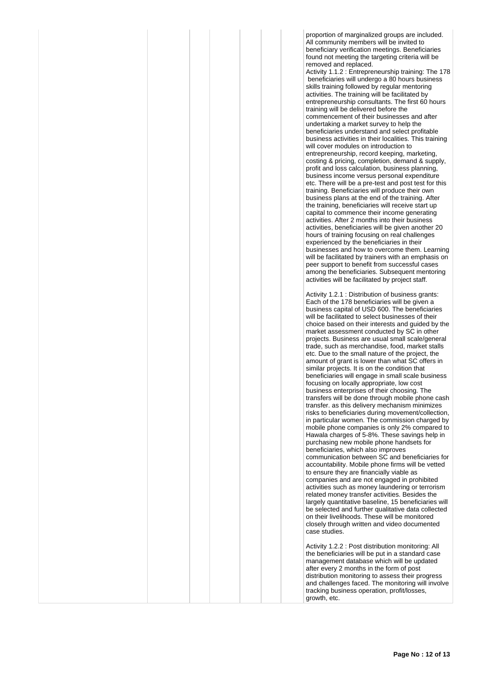proportion of marginalized groups are included. All community members will be invited to beneficiary verification meetings. Beneficiaries found not meeting the targeting criteria will be removed and replaced. Activity 1.1.2 : Entrepreneurship training: The 178 beneficiaries will undergo a 80 hours business skills training followed by regular mentoring activities. The training will be facilitated by entrepreneurship consultants. The first 60 hours training will be delivered before the commencement of their businesses and after undertaking a market survey to help the beneficiaries understand and select profitable business activities in their localities. This training will cover modules on introduction to entrepreneurship, record keeping, marketing, costing & pricing, completion, demand & supply, profit and loss calculation, business planning, business income versus personal expenditure etc. There will be a pre-test and post test for this training. Beneficiaries will produce their own business plans at the end of the training. After the training, beneficiaries will receive start up capital to commence their income generating activities. After 2 months into their business activities, beneficiaries will be given another 20 hours of training focusing on real challenges experienced by the beneficiaries in their businesses and how to overcome them. Learning will be facilitated by trainers with an emphasis on peer support to benefit from successful cases among the beneficiaries. Subsequent mentoring activities will be facilitated by project staff.

Activity 1.2.1 : Distribution of business grants: Each of the 178 beneficiaries will be given a business capital of USD 600. The beneficiaries will be facilitated to select businesses of their choice based on their interests and guided by the market assessment conducted by SC in other projects. Business are usual small scale/general trade, such as merchandise, food, market stalls etc. Due to the small nature of the project, the amount of grant is lower than what SC offers in similar projects. It is on the condition that beneficiaries will engage in small scale business focusing on locally appropriate, low cost business enterprises of their choosing. The transfers will be done through mobile phone cash transfer. as this delivery mechanism minimizes risks to beneficiaries during movement/collection, in particular women. The commission charged by mobile phone companies is only 2% compared to Hawala charges of 5-8%. These savings help in purchasing new mobile phone handsets for beneficiaries, which also improves communication between SC and beneficiaries for accountability. Mobile phone firms will be vetted to ensure they are financially viable as companies and are not engaged in prohibited activities such as money laundering or terrorism related money transfer activities. Besides the largely quantitative baseline, 15 beneficiaries will be selected and further qualitative data collected on their livelihoods. These will be monitored closely through written and video documented case studies. Activity 1.2.2 : Post distribution monitoring: All the beneficiaries will be put in a standard case management database which will be updated after every 2 months in the form of post

distribution monitoring to assess their progress and challenges faced. The monitoring will involve tracking business operation, profit/losses, growth, etc.